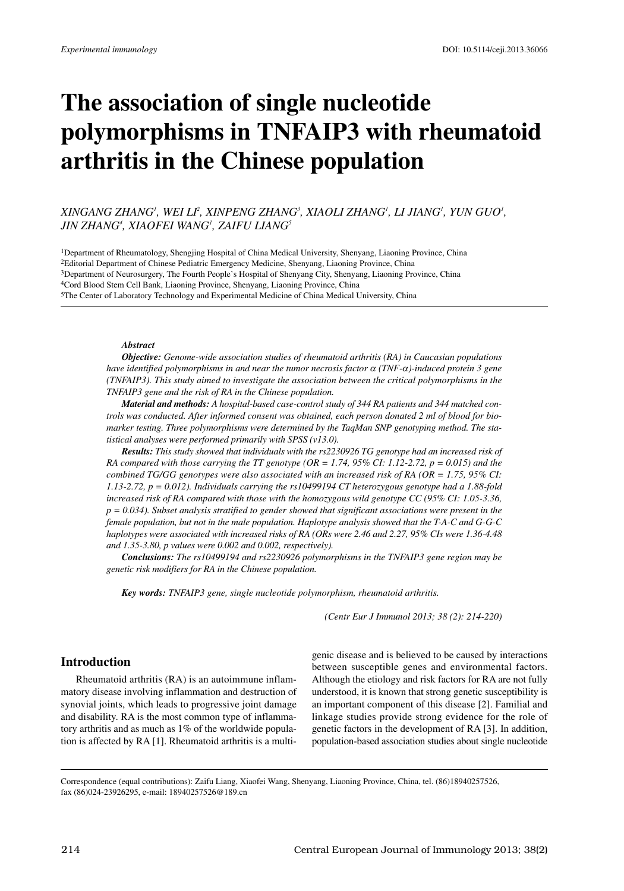# **The association of single nucleotide polymorphisms in TNFAIP3 with rheumatoid arthritis in the Chinese population**

# *XINGANG ZHANG1 , WEI LI 2 , XINPENG ZHANG3 , XIAOLI ZHANG1 , LI JIANG1 , YUN GUO1 , JIN ZHANG4 , XIAOFEI WANG1 , ZAIFU LIANG5*

1Department of Rheumatology, Shengjing Hospital of China Medical University, Shenyang, Liaoning Province, China 2Editorial Department of Chinese Pediatric Emergency Medicine, Shenyang, Liaoning Province, China 3Department of Neurosurgery, The Fourth People's Hospital of Shenyang City, Shenyang, Liaoning Province, China 4Cord Blood Stem Cell Bank, Liaoning Province, Shenyang, Liaoning Province, China 5The Center of Laboratory Technology and Experimental Medicine of China Medical University, China

## *Abstract*

*Objective: Genome-wide association studies of rheumatoid arthritis (RA) in Caucasian populations have identified polymorphisms in and near the tumor necrosis factor* <sup>α</sup> *(TNF-*α*)-induced protein 3 gene (TNFAIP3). This study aimed to investigate the association between the critical polymorphisms in the TNFAIP3 gene and the risk of RA in the Chinese population.*

*Material and methods: A hospital-based case-control study of 344 RA patients and 344 matched controls was conducted. After informed consent was obtained, each person donated 2 ml of blood for biomarker testing. Three polymorphisms were determined by the TaqMan SNP genotyping method. The statistical analyses were performed primarily with SPSS (v13.0).*

*Results: This study showed that individuals with the rs2230926 TG genotype had an increased risk of* RA compared with those carrying the TT genotype (OR = 1.74, 95% CI: 1.12-2.72, p = 0.015) and the *combined TG/GG genotypes were also associated with an increased risk of RA (OR = 1.75, 95% CI: 1.13-2.72, p = 0.012). Individuals carrying the rs10499194 CT heterozygous genotype had a 1.88-fold increased risk of RA compared with those with the homozygous wild genotype CC (95% CI: 1.05-3.36, p = 0.034). Subset analysis stratified to gender showed that significant associations were present in the female population, but not in the male population. Haplotype analysis showed that the T-A-C and G-G-C haplotypes were associated with increased risks of RA (ORs were 2.46 and 2.27, 95% CIs were 1.36-4.48 and 1.35-3.80, p values were 0.002 and 0.002, respectively).*

*Conclusions: The rs10499194 and rs2230926 polymorphisms in the TNFAIP3 gene region may be genetic risk modifiers for RA in the Chinese population.*

*Key words: TNFAIP3 gene, single nucleotide polymorphism, rheumatoid arthritis.*

*(Centr Eur J Immunol 2013; 38 (2): 214-220)*

## **Introduction**

Rheumatoid arthritis (RA) is an autoimmune inflammatory disease involving inflammation and destruction of synovial joints, which leads to progressive joint damage and disability. RA is the most common type of inflammatory arthritis and as much as 1% of the worldwide population is affected by RA [1]. Rheumatoid arthritis is a multigenic disease and is believed to be caused by interactions between susceptible genes and environmental factors. Although the etiology and risk factors for RA are not fully understood, it is known that strong genetic susceptibility is an important component of this disease [2]. Familial and linkage studies provide strong evidence for the role of genetic factors in the development of RA [3]. In addition, population-based association studies about single nucleotide

Correspondence (equal contributions): Zaifu Liang, Xiaofei Wang, Shenyang, Liaoning Province, China, tel. (86)18940257526, fax (86)024-23926295, e-mail: 18940257526@189.cn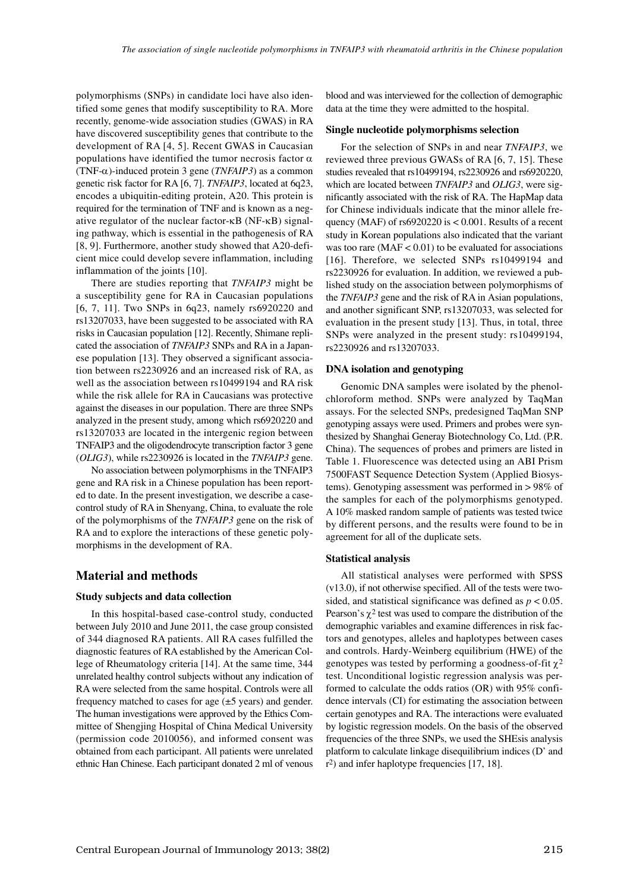polymorphisms (SNPs) in candidate loci have also identified some genes that modify susceptibility to RA. More recently, genome-wide association studies (GWAS) in RA have discovered susceptibility genes that contribute to the development of RA [4, 5]. Recent GWAS in Caucasian populations have identified the tumor necrosis factor  $\alpha$ (TNF-α)-induced protein 3 gene (*TNFAIP3*) as a common genetic risk factor for RA [6, 7]. *TNFAIP3*, located at 6q23, encodes a ubiquitin-editing protein, A20. This protein is required for the termination of TNF and is known as a negative regulator of the nuclear factor-κB (NF-κB) signaling pathway, which is essential in the pathogenesis of RA [8, 9]. Furthermore, another study showed that A20-deficient mice could develop severe inflammation, including inflammation of the joints [10].

There are studies reporting that *TNFAIP3* might be a susceptibility gene for RA in Caucasian populations [6, 7, 11]. Two SNPs in 6q23, namely rs6920220 and rs13207033, have been suggested to be associated with RA risks in Caucasian population [12]. Recently, Shimane replicated the association of *TNFAIP3* SNPs and RA in a Japanese population [13]. They observed a significant association between rs2230926 and an increased risk of RA, as well as the association between rs10499194 and RA risk while the risk allele for RA in Caucasians was protective against the diseases in our population. There are three SNPs analyzed in the present study, among which rs6920220 and rs13207033 are located in the intergenic region between TNFAIP3 and the oligodendrocyte transcription factor 3 gene (*OLIG3*), while rs2230926 is located in the *TNFAIP3* gene.

No association between polymorphisms in the TNFAIP3 gene and RA risk in a Chinese population has been reported to date. In the present investigation, we describe a casecontrol study of RA in Shenyang, China, to evaluate the role of the polymorphisms of the *TNFAIP3* gene on the risk of RA and to explore the interactions of these genetic polymorphisms in the development of RA.

## **Material and methods**

#### **Study subjects and data collection**

In this hospital-based case-control study, conducted between July 2010 and June 2011, the case group consisted of 344 diagnosed RA patients. All RA cases fulfilled the diagnostic features of RA established by the American College of Rheumatology criteria [14]. At the same time, 344 unrelated healthy control subjects without any indication of RA were selected from the same hospital. Controls were all frequency matched to cases for age (±5 years) and gender. The human investigations were approved by the Ethics Committee of Shengjing Hospital of China Medical University (permission code 2010056), and informed consent was obtained from each participant. All patients were unrelated ethnic Han Chinese. Each participant donated 2 ml of venous blood and was interviewed for the collection of demographic data at the time they were admitted to the hospital.

## **Single nucleotide polymorphisms selection**

For the selection of SNPs in and near *TNFAIP3*, we reviewed three previous GWASs of RA [6, 7, 15]. These studies revealed that rs10499194, rs2230926 and rs6920220, which are located between *TNFAIP3* and *OLIG3*, were significantly associated with the risk of RA. The HapMap data for Chinese individuals indicate that the minor allele frequency (MAF) of  $rs6920220$  is  $< 0.001$ . Results of a recent study in Korean populations also indicated that the variant was too rare  $(MAF < 0.01)$  to be evaluated for associations [16]. Therefore, we selected SNPs rs10499194 and rs2230926 for evaluation. In addition, we reviewed a published study on the association between polymorphisms of the *TNFAIP3* gene and the risk of RA in Asian populations, and another significant SNP, rs13207033, was selected for evaluation in the present study [13]. Thus, in total, three SNPs were analyzed in the present study: rs10499194, rs2230926 and rs13207033.

#### **DNA isolation and genotyping**

Genomic DNA samples were isolated by the phenolchloroform method. SNPs were analyzed by TaqMan assays. For the selected SNPs, predesigned TaqMan SNP genotyping assays were used. Primers and probes were synthesized by Shanghai Generay Biotechnology Co, Ltd. (P.R. China). The sequences of probes and primers are listed in Table 1. Fluorescence was detected using an ABI Prism 7500FAST Sequence Detection System (Applied Biosystems). Genotyping assessment was performed in > 98% of the samples for each of the polymorphisms genotyped. A 10% masked random sample of patients was tested twice by different persons, and the results were found to be in agreement for all of the duplicate sets.

## **Statistical analysis**

All statistical analyses were performed with SPSS (v13.0), if not otherwise specified. All of the tests were twosided, and statistical significance was defined as  $p < 0.05$ . Pearson's  $\chi^2$  test was used to compare the distribution of the demographic variables and examine differences in risk factors and genotypes, alleles and haplotypes between cases and controls. Hardy-Weinberg equilibrium (HWE) of the genotypes was tested by performing a goodness-of-fit  $\chi^2$ test. Unconditional logistic regression analysis was performed to calculate the odds ratios (OR) with 95% confidence intervals (CI) for estimating the association between certain genotypes and RA. The interactions were evaluated by logistic regression models. On the basis of the observed frequencies of the three SNPs, we used the SHEsis analysis platform to calculate linkage disequilibrium indices (D' and r2) and infer haplotype frequencies [17, 18].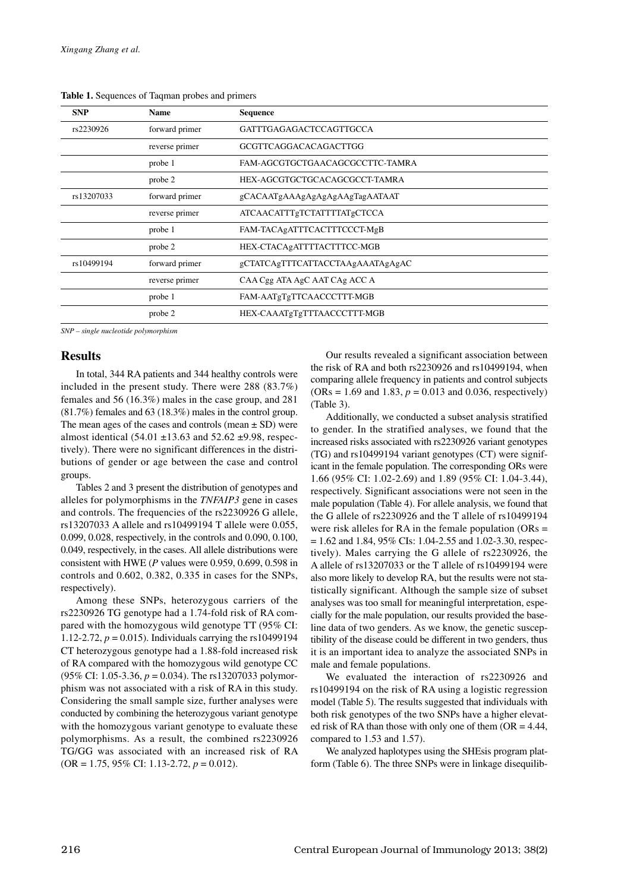| <b>SNP</b> | <b>Name</b>    | <b>Sequence</b>                  |
|------------|----------------|----------------------------------|
| rs2230926  | forward primer | GATTTGAGAGACTCCAGTTGCCA          |
|            | reverse primer | <b>GCGTTCAGGACACAGACTTGG</b>     |
|            | probe 1        | FAM-AGCGTGCTGAACAGCGCCTTC-TAMRA  |
|            | probe 2        | HEX-AGCGTGCTGCACAGCGCCT-TAMRA    |
| rs13207033 | forward primer | gCACAATgAAAgAgAgAgAAgTagAATAAT   |
|            | reverse primer | ATCAACATTTgTCTATTTTATgCTCCA      |
|            | probe 1        | FAM-TACAgATTTCACTTTCCCT-MgB      |
|            | probe 2        | HEX-CTACAgATTTTACTTTCC-MGB       |
| rs10499194 | forward primer | gCTATCAgTTTCATTACCTAAgAAATAgAgAC |
|            | reverse primer | CAA Cgg ATA AgC AAT CAg ACC A    |
|            | probe 1        | FAM-AATgTgTTCAACCCTTT-MGB        |
|            | probe 2        | HEX-CAAATgTgTTTAACCCTTT-MGB      |

**Table 1.** Sequences of Taqman probes and primers

*SNP – single nucleotide polymorphism*

## **Results**

In total, 344 RA patients and 344 healthy controls were included in the present study. There were 288 (83.7%) females and 56 (16.3%) males in the case group, and 281 (81.7%) females and 63 (18.3%) males in the control group. The mean ages of the cases and controls (mean  $\pm$  SD) were almost identical (54.01  $\pm$ 13.63 and 52.62  $\pm$ 9.98, respectively). There were no significant differences in the distributions of gender or age between the case and control groups.

Tables 2 and 3 present the distribution of genotypes and alleles for polymorphisms in the *TNFAIP3* gene in cases and controls. The frequencies of the rs2230926 G allele, rs13207033 A allele and rs10499194 T allele were 0.055, 0.099, 0.028, respectively, in the controls and 0.090, 0.100, 0.049, respectively, in the cases. All allele distributions were consistent with HWE (*P* values were 0.959, 0.699, 0.598 in controls and 0.602, 0.382, 0.335 in cases for the SNPs, respectively).

Among these SNPs, heterozygous carriers of the rs2230926 TG genotype had a 1.74-fold risk of RA compared with the homozygous wild genotype TT (95% CI: 1.12-2.72, *p* = 0.015). Individuals carrying the rs10499194 CT heterozygous genotype had a 1.88-fold increased risk of RA compared with the homozygous wild genotype CC (95% CI: 1.05-3.36, *p* = 0.034). The rs13207033 polymorphism was not associated with a risk of RA in this study. Considering the small sample size, further analyses were conducted by combining the heterozygous variant genotype with the homozygous variant genotype to evaluate these polymorphisms. As a result, the combined rs2230926 TG/GG was associated with an increased risk of RA (OR = 1.75, 95% CI: 1.13-2.72, *p* = 0.012).

Our results revealed a significant association between the risk of RA and both rs2230926 and rs10499194, when comparing allele frequency in patients and control subjects  $(ORs = 1.69 \text{ and } 1.83, p = 0.013 \text{ and } 0.036, respectively)$ (Table 3).

Additionally, we conducted a subset analysis stratified to gender. In the stratified analyses, we found that the increased risks associated with rs2230926 variant genotypes (TG) and rs10499194 variant genotypes (CT) were significant in the female population. The corresponding ORs were 1.66 (95% CI: 1.02-2.69) and 1.89 (95% CI: 1.04-3.44), respectively. Significant associations were not seen in the male population (Table 4). For allele analysis, we found that the G allele of rs2230926 and the T allele of rs10499194 were risk alleles for RA in the female population ( $ORs =$  $= 1.62$  and 1.84, 95% CIs: 1.04-2.55 and 1.02-3.30, respectively). Males carrying the G allele of rs2230926, the A allele of rs13207033 or the T allele of rs10499194 were also more likely to develop RA, but the results were not statistically significant. Although the sample size of subset analyses was too small for meaningful interpretation, especially for the male population, our results provided the baseline data of two genders. As we know, the genetic susceptibility of the disease could be different in two genders, thus it is an important idea to analyze the associated SNPs in male and female populations.

We evaluated the interaction of rs2230926 and rs10499194 on the risk of RA using a logistic regression model (Table 5). The results suggested that individuals with both risk genotypes of the two SNPs have a higher elevated risk of RA than those with only one of them  $OR = 4.44$ , compared to 1.53 and 1.57).

We analyzed haplotypes using the SHEsis program platform (Table 6). The three SNPs were in linkage disequilib-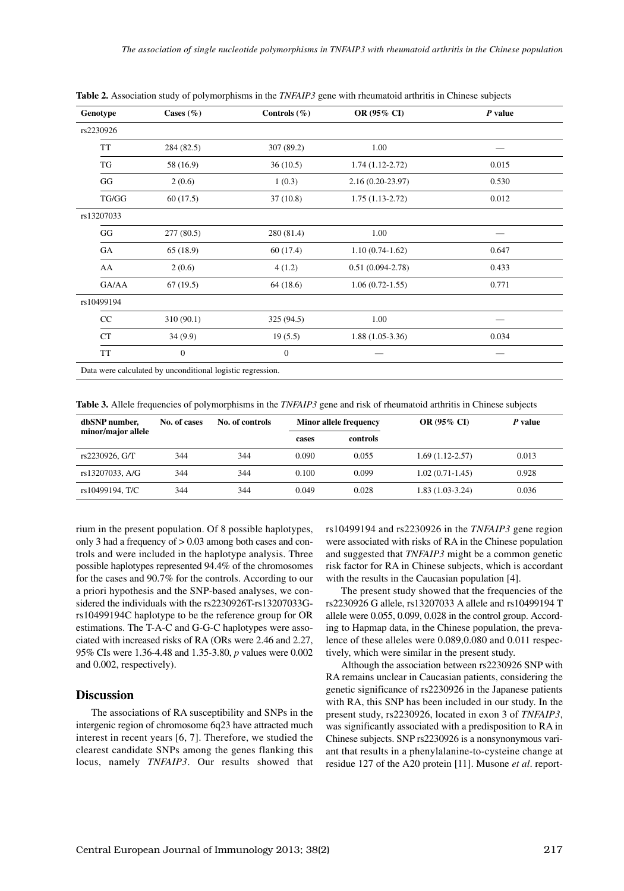| Genotype   | Cases $(\% )$    | Controls $(\%)$  | OR (95% CI)         | P value |
|------------|------------------|------------------|---------------------|---------|
| rs2230926  |                  |                  |                     |         |
| TT         | 284 (82.5)       | 307 (89.2)       | 1.00                |         |
| TG         | 58 (16.9)        | 36(10.5)         | $1.74(1.12-2.72)$   | 0.015   |
| GG         | 2(0.6)           | 1(0.3)           | $2.16(0.20-23.97)$  | 0.530   |
| TG/GG      | 60(17.5)         | 37(10.8)         | $1.75(1.13-2.72)$   | 0.012   |
| rs13207033 |                  |                  |                     |         |
| GG         | 277(80.5)        | 280 (81.4)       | 1.00                |         |
| GA         | 65(18.9)         | 60(17.4)         | $1.10(0.74-1.62)$   | 0.647   |
| AA         | 2(0.6)           | 4(1.2)           | $0.51(0.094-2.78)$  | 0.433   |
| GA/AA      | 67(19.5)         | 64(18.6)         | $1.06(0.72 - 1.55)$ | 0.771   |
| rs10499194 |                  |                  |                     |         |
| CC         | 310 (90.1)       | 325 (94.5)       | 1.00                |         |
| CT         | 34(9.9)          | 19(5.5)          | $1.88(1.05-3.36)$   | 0.034   |
| TT         | $\boldsymbol{0}$ | $\boldsymbol{0}$ |                     |         |

**Table 2.** Association study of polymorphisms in the *TNFAIP3* gene with rheumatoid arthritis in Chinese subjects

**Table 3.** Allele frequencies of polymorphisms in the *TNFAIP3* gene and risk of rheumatoid arthritis in Chinese subjects

| dbSNP number,      | No. of controls<br>No. of cases |     | <b>Minor allele frequency</b> |          | <b>OR (95% CI)</b>  | P value |
|--------------------|---------------------------------|-----|-------------------------------|----------|---------------------|---------|
| minor/major allele |                                 |     | cases                         | controls |                     |         |
| rs2230926. G/T     | 344                             | 344 | 0.090                         | 0.055    | $1.69(1.12 - 2.57)$ | 0.013   |
| rs13207033, A/G    | 344                             | 344 | 0.100                         | 0.099    | $1.02(0.71-1.45)$   | 0.928   |
| rs10499194, T/C    | 344                             | 344 | 0.049                         | 0.028    | $1.83(1.03-3.24)$   | 0.036   |

rium in the present population. Of 8 possible haplotypes, only 3 had a frequency of > 0.03 among both cases and controls and were included in the haplotype analysis. Three possible haplotypes represented 94.4% of the chromosomes for the cases and 90.7% for the controls. According to our a priori hypothesis and the SNP-based analyses, we considered the individuals with the rs2230926T-rs13207033Grs10499194C haplotype to be the reference group for OR estimations. The T-A-C and G-G-C haplotypes were associated with increased risks of RA (ORs were 2.46 and 2.27, 95% CIs were 1.36-4.48 and 1.35-3.80, *p* values were 0.002 and 0.002, respectively).

# **Discussion**

The associations of RA susceptibility and SNPs in the intergenic region of chromosome 6q23 have attracted much interest in recent years [6, 7]. Therefore, we studied the clearest candidate SNPs among the genes flanking this locus, namely *TNFAIP3*. Our results showed that rs10499194 and rs2230926 in the *TNFAIP3* gene region were associated with risks of RA in the Chinese population and suggested that *TNFAIP3* might be a common genetic risk factor for RA in Chinese subjects, which is accordant with the results in the Caucasian population [4].

The present study showed that the frequencies of the rs2230926 G allele, rs13207033 A allele and rs10499194 T allele were 0.055, 0.099, 0.028 in the control group. According to Hapmap data, in the Chinese population, the prevalence of these alleles were 0.089,0.080 and 0.011 respectively, which were similar in the present study.

Although the association between rs2230926 SNP with RA remains unclear in Caucasian patients, considering the genetic significance of rs2230926 in the Japanese patients with RA, this SNP has been included in our study. In the present study, rs2230926, located in exon 3 of *TNFAIP3*, was significantly associated with a predisposition to RA in Chinese subjects. SNP rs2230926 is a nonsynonymous variant that results in a phenylalanine-to-cysteine change at residue 127 of the A20 protein [11]. Musone *et al*. report-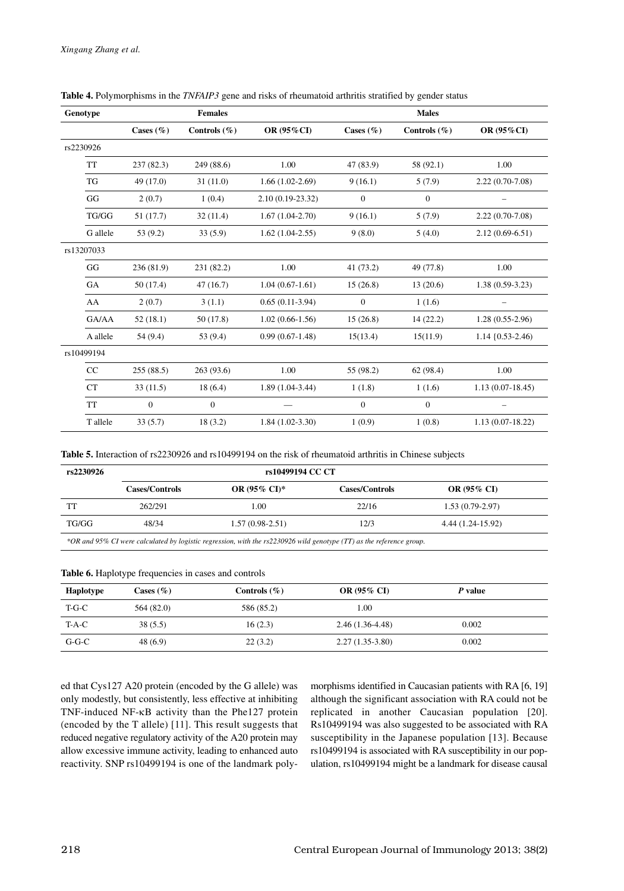| Genotype   |               | <b>Females</b>   |                   |               | <b>Males</b>     |                        |
|------------|---------------|------------------|-------------------|---------------|------------------|------------------------|
|            | Cases $(\% )$ | Controls $(\% )$ | OR (95%CI)        | Cases $(\% )$ | Controls $(\% )$ | <b>OR (95%CI)</b>      |
| rs2230926  |               |                  |                   |               |                  |                        |
| <b>TT</b>  | 237(82.3)     | 249 (88.6)       | 1.00              | 47 (83.9)     | 58 (92.1)        | 1.00                   |
| <b>TG</b>  | 49 (17.0)     | 31(11.0)         | $1.66(1.02-2.69)$ | 9(16.1)       | 5(7.9)           | $2.22(0.70-7.08)$      |
| GG         | 2(0.7)        | 1(0.4)           | 2.10 (0.19-23.32) | $\mathbf{0}$  | $\boldsymbol{0}$ |                        |
| TG/GG      | 51 (17.7)     | 32(11.4)         | $1.67(1.04-2.70)$ | 9(16.1)       | 5(7.9)           | $2.22(0.70-7.08)$      |
| G allele   | 53(9.2)       | 33(5.9)          | $1.62(1.04-2.55)$ | 9(8.0)        | 5(4.0)           | $2.12(0.69-6.51)$      |
| rs13207033 |               |                  |                   |               |                  |                        |
| GG         | 236 (81.9)    | 231 (82.2)       | 1.00              | 41 (73.2)     | 49 (77.8)        | 1.00                   |
| GA         | 50(17.4)      | 47(16.7)         | $1.04(0.67-1.61)$ | 15(26.8)      | 13(20.6)         | $1.38(0.59-3.23)$      |
| AA         | 2(0.7)        | 3(1.1)           | $0.65(0.11-3.94)$ | $\theta$      | 1(1.6)           |                        |
| GA/AA      | 52(18.1)      | 50(17.8)         | $1.02(0.66-1.56)$ | 15(26.8)      | 14(22.2)         | $1.28(0.55-2.96)$      |
| A allele   | 54(9.4)       | 53(9.4)          | $0.99(0.67-1.48)$ | 15(13.4)      | 15(11.9)         | $1.14 \{0.53 - 2.46\}$ |
| rs10499194 |               |                  |                   |               |                  |                        |
| CC         | 255(88.5)     | 263(93.6)        | 1.00              | 55 (98.2)     | 62(98.4)         | 1.00                   |
| <b>CT</b>  | 33(11.5)      | 18(6.4)          | $1.89(1.04-3.44)$ | 1(1.8)        | 1(1.6)           | $1.13(0.07-18.45)$     |
| <b>TT</b>  | $\theta$      | $\theta$         |                   | $\theta$      | $\theta$         |                        |
| T allele   | 33(5.7)       | 18(3.2)          | $1.84(1.02-3.30)$ | 1(0.9)        | 1(0.8)           | $1.13(0.07-18.22)$     |

**Table 4.** Polymorphisms in the *TNFAIP3* gene and risks of rheumatoid arthritis stratified by gender status

**Table 5.** Interaction of rs2230926 and rs10499194 on the risk of rheumatoid arthritis in Chinese subjects

| rs2230926 |                       |                          |                       |                    |
|-----------|-----------------------|--------------------------|-----------------------|--------------------|
|           | <b>Cases/Controls</b> | OR $(95\% \text{ CI})^*$ | <b>Cases/Controls</b> | <b>OR (95% CI)</b> |
|           | 262/291               | 1.00                     | 22/16                 | $1.53(0.79-2.97)$  |
| TG/GG     | 48/34                 | $1.57(0.98-2.51)$        | 12/3                  | 4.44 (1.24-15.92)  |

| Table 6. Haplotype frequencies in cases and controls |  |  |  |
|------------------------------------------------------|--|--|--|
|                                                      |  |  |  |

| Haplotype | Cases $(\% )$ | Controls $(\% )$ | <b>OR (95% CI)</b> | P value |  |
|-----------|---------------|------------------|--------------------|---------|--|
| $T-G-C$   | 564 (82.0)    | 586 (85.2)       | 1.00               |         |  |
| $T-A-C$   | 38(5.5)       | 16(2.3)          | $2.46(1.36-4.48)$  | 0.002   |  |
| $G-G-C$   | 48(6.9)       | 22(3.2)          | $2.27(1.35-3.80)$  | 0.002   |  |

ed that Cys127 A20 protein (encoded by the G allele) was only modestly, but consistently, less effective at inhibiting TNF-induced NF-κB activity than the Phe127 protein (encoded by the T allele) [11]. This result suggests that reduced negative regulatory activity of the A20 protein may allow excessive immune activity, leading to enhanced auto reactivity. SNP rs10499194 is one of the landmark polymorphisms identified in Caucasian patients with RA [6, 19] although the significant association with RA could not be replicated in another Caucasian population [20]. Rs10499194 was also suggested to be associated with RA susceptibility in the Japanese population [13]. Because rs10499194 is associated with RA susceptibility in our population, rs10499194 might be a landmark for disease causal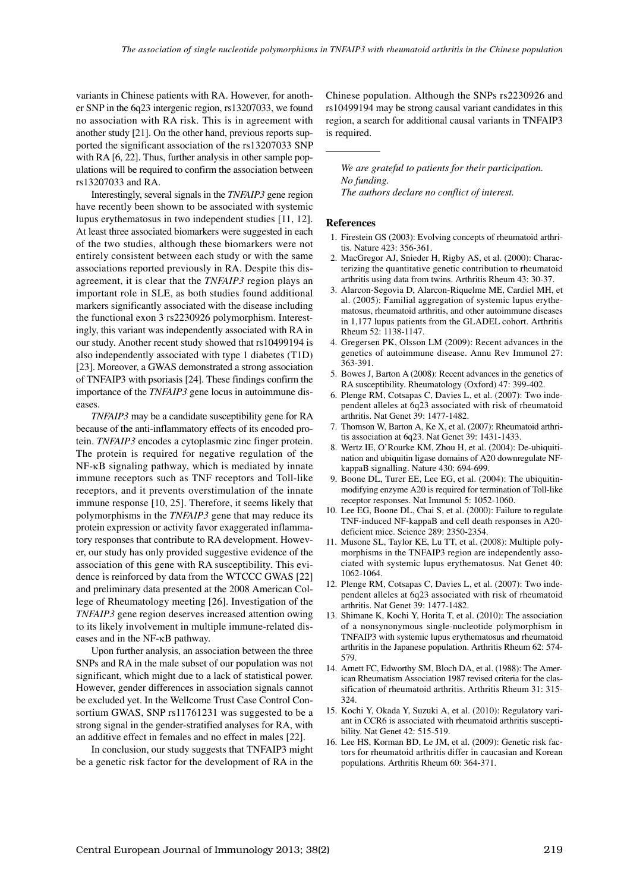variants in Chinese patients with RA. However, for another SNP in the 6q23 intergenic region, rs13207033, we found no association with RA risk. This is in agreement with another study [21]. On the other hand, previous reports supported the significant association of the rs13207033 SNP with RA [6, 22]. Thus, further analysis in other sample populations will be required to confirm the association between rs13207033 and RA.

Interestingly, several signals in the *TNFAIP3* gene region have recently been shown to be associated with systemic lupus erythematosus in two independent studies [11, 12]. At least three associated biomarkers were suggested in each of the two studies, although these biomarkers were not entirely consistent between each study or with the same associations reported previously in RA. Despite this disagreement, it is clear that the *TNFAIP3* region plays an important role in SLE, as both studies found additional markers significantly associated with the disease including the functional exon 3 rs2230926 polymorphism. Interestingly, this variant was independently associated with RA in our study. Another recent study showed that rs10499194 is also independently associated with type 1 diabetes (T1D) [23]. Moreover, a GWAS demonstrated a strong association of TNFAIP3 with psoriasis [24]. These findings confirm the importance of the *TNFAIP3* gene locus in autoimmune diseases.

*TNFAIP3* may be a candidate susceptibility gene for RA because of the anti-inflammatory effects of its encoded protein. *TNFAIP3* encodes a cytoplasmic zinc finger protein. The protein is required for negative regulation of the NF-κB signaling pathway, which is mediated by innate immune receptors such as TNF receptors and Toll-like receptors, and it prevents overstimulation of the innate immune response [10, 25]. Therefore, it seems likely that polymorphisms in the *TNFAIP3* gene that may reduce its protein expression or activity favor exaggerated inflammatory responses that contribute to RA development. However, our study has only provided suggestive evidence of the association of this gene with RA susceptibility. This evidence is reinforced by data from the WTCCC GWAS [22] and preliminary data presented at the 2008 American College of Rheumatology meeting [26]. Investigation of the *TNFAIP3* gene region deserves increased attention owing to its likely involvement in multiple immune-related diseases and in the NF-κB pathway.

Upon further analysis, an association between the three SNPs and RA in the male subset of our population was not significant, which might due to a lack of statistical power. However, gender differences in association signals cannot be excluded yet. In the Wellcome Trust Case Control Consortium GWAS, SNP rs11761231 was suggested to be a strong signal in the gender-stratified analyses for RA, with an additive effect in females and no effect in males [22].

In conclusion, our study suggests that TNFAIP3 might be a genetic risk factor for the development of RA in the

Chinese population. Although the SNPs rs2230926 and rs10499194 may be strong causal variant candidates in this region, a search for additional causal variants in TNFAIP3 is required.

*We are grateful to patients for their participation. No funding. The authors declare no conflict of interest.*

#### **References**

- 1. Firestein GS (2003): Evolving concepts of rheumatoid arthritis. Nature 423: 356-361.
- 2. MacGregor AJ, Snieder H, Rigby AS, et al. (2000): Characterizing the quantitative genetic contribution to rheumatoid arthritis using data from twins. Arthritis Rheum 43: 30-37.
- 3. Alarcon-Segovia D, Alarcon-Riquelme ME, Cardiel MH, et al. (2005): Familial aggregation of systemic lupus erythematosus, rheumatoid arthritis, and other autoimmune diseases in 1,177 lupus patients from the GLADEL cohort. Arthritis Rheum 52: 1138-1147.
- 4. Gregersen PK, Olsson LM (2009): Recent advances in the genetics of autoimmune disease. Annu Rev Immunol 27: 363-391.
- 5. Bowes J, Barton A (2008): Recent advances in the genetics of RA susceptibility. Rheumatology (Oxford) 47: 399-402.
- 6. Plenge RM, Cotsapas C, Davies L, et al. (2007): Two independent alleles at 6q23 associated with risk of rheumatoid arthritis. Nat Genet 39: 1477-1482.
- 7. Thomson W, Barton A, Ke X, et al. (2007): Rheumatoid arthritis association at 6q23. Nat Genet 39: 1431-1433.
- 8. Wertz IE, O'Rourke KM, Zhou H, et al. (2004): De-ubiquitination and ubiquitin ligase domains of A20 downregulate NFkappaB signalling. Nature 430: 694-699.
- 9. Boone DL, Turer EE, Lee EG, et al. (2004): The ubiquitinmodifying enzyme A20 is required for termination of Toll-like receptor responses. Nat Immunol 5: 1052-1060.
- 10. Lee EG, Boone DL, Chai S, et al. (2000): Failure to regulate TNF-induced NF-kappaB and cell death responses in A20 deficient mice. Science 289: 2350-2354.
- 11. Musone SL, Taylor KE, Lu TT, et al. (2008): Multiple polymorphisms in the TNFAIP3 region are independently associated with systemic lupus erythematosus. Nat Genet 40: 1062-1064.
- 12. Plenge RM, Cotsapas C, Davies L, et al. (2007): Two independent alleles at 6q23 associated with risk of rheumatoid arthritis. Nat Genet 39: 1477-1482.
- 13. Shimane K, Kochi Y, Horita T, et al. (2010): The association of a nonsynonymous single-nucleotide polymorphism in TNFAIP3 with systemic lupus erythematosus and rheumatoid arthritis in the Japanese population. Arthritis Rheum 62: 574- 579.
- 14. Arnett FC, Edworthy SM, Bloch DA, et al. (1988): The American Rheumatism Association 1987 revised criteria for the classification of rheumatoid arthritis. Arthritis Rheum 31: 315- 324.
- 15. Kochi Y, Okada Y, Suzuki A, et al. (2010): Regulatory variant in CCR6 is associated with rheumatoid arthritis susceptibility. Nat Genet 42: 515-519.
- 16. Lee HS, Korman BD, Le JM, et al. (2009): Genetic risk factors for rheumatoid arthritis differ in caucasian and Korean populations. Arthritis Rheum 60: 364-371.